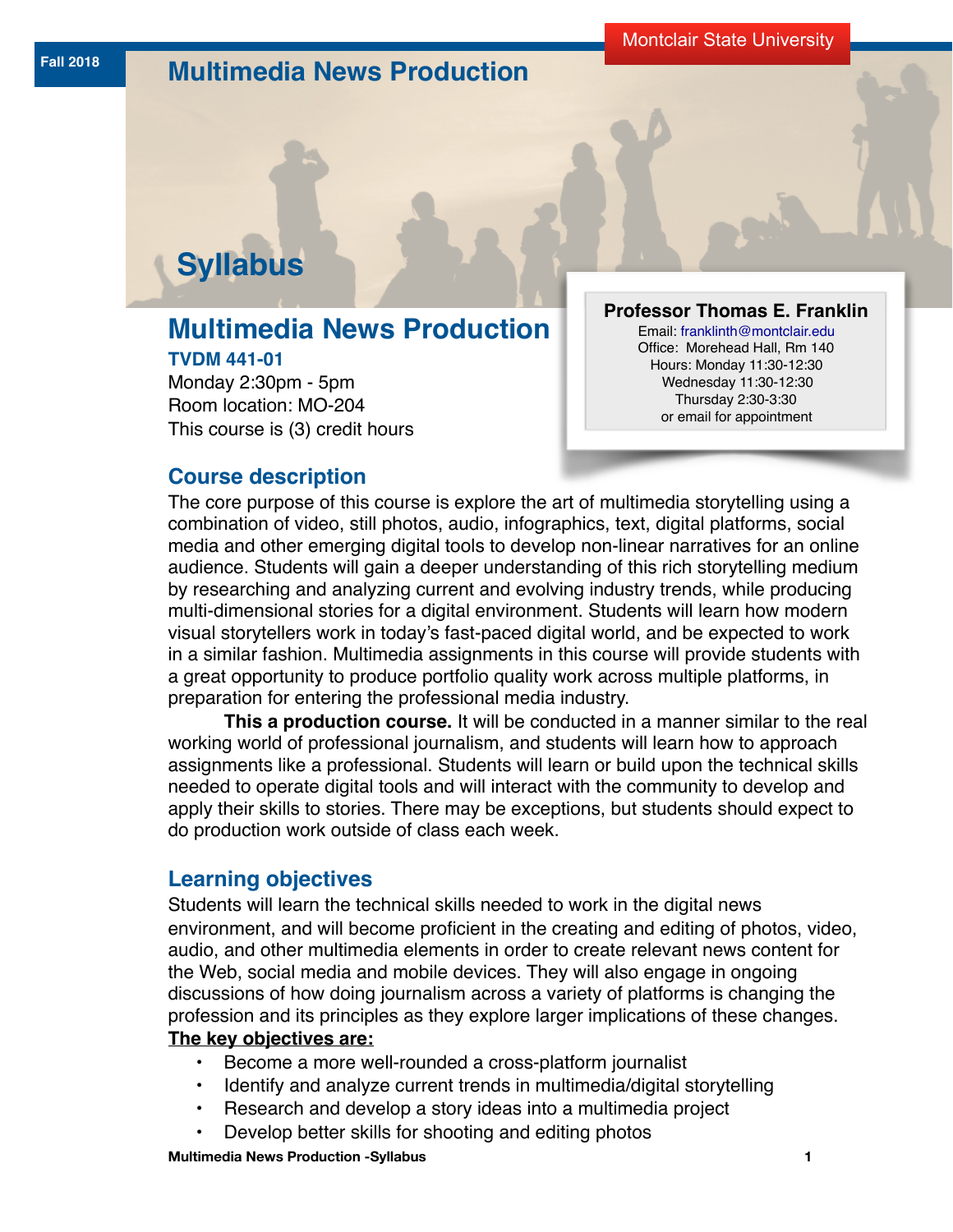# **Fall 2018 Multimedia News Production**

# **Syllabus**

# **Multimedia News Production TVDM 441-01**

Monday 2:30pm - 5pm Room location: MO-204 This course is (3) credit hours

#### **Professor Thomas E. Franklin**

Email: [franklinth@montclair.edu](http://franklinth@montclair.edu) Office: M[orehead Hall, Rm 140](http://franklinth@montclair.edu) Hours: Monday 11:30-12:30 Wednesday 11:30-12:30 Thursday 2:30-3:30 or email for appointment

# **Course description**

The core purpose of this course is explore the art of multimedia storytelling using a combination of video, still photos, audio, infographics, text, digital platforms, social media and other emerging digital tools to develop non-linear narratives for an online audience. Students will gain a deeper understanding of this rich storytelling medium by researching and analyzing current and evolving industry trends, while producing multi-dimensional stories for a digital environment. Students will learn how modern visual storytellers work in today's fast-paced digital world, and be expected to work in a similar fashion. Multimedia assignments in this course will provide students with a great opportunity to produce portfolio quality work across multiple platforms, in preparation for entering the professional media industry.

**This a production course.** It will be conducted in a manner similar to the real working world of professional journalism, and students will learn how to approach assignments like a professional. Students will learn or build upon the technical skills needed to operate digital tools and will interact with the community to develop and apply their skills to stories. There may be exceptions, but students should expect to do production work outside of class each week.

# **Learning objectives**

Students will learn the technical skills needed to work in the digital news environment, and will become proficient in the creating and editing of photos, video, audio, and other multimedia elements in order to create relevant news content for the Web, social media and mobile devices. They will also engage in ongoing discussions of how doing journalism across a variety of platforms is changing the profession and its principles as they explore larger implications of these changes.

### **The key objectives are:**

- Become a more well-rounded a cross-platform journalist
- Identify and analyze current trends in multimedia/digital storytelling
- Research and develop a story ideas into a multimedia project
- Develop better skills for shooting and editing photos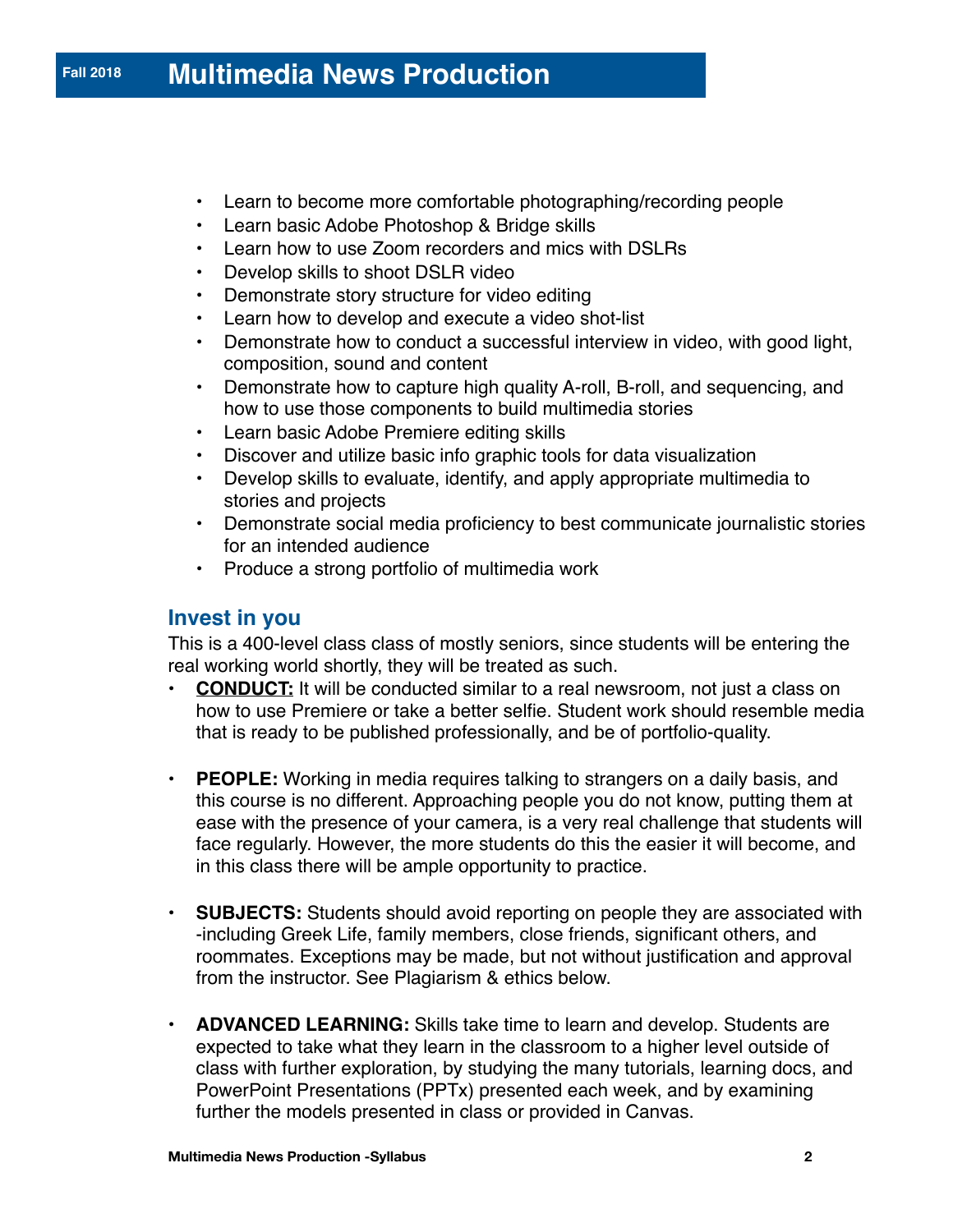# **Fall 2018 Multimedia News Production**

- Learn to become more comfortable photographing/recording people
- Learn basic Adobe Photoshop & Bridge skills
- Learn how to use Zoom recorders and mics with DSLRs
- Develop skills to shoot DSLR video
- Demonstrate story structure for video editing
- Learn how to develop and execute a video shot-list
- Demonstrate how to conduct a successful interview in video, with good light, composition, sound and content
- Demonstrate how to capture high quality A-roll, B-roll, and sequencing, and how to use those components to build multimedia stories
- Learn basic Adobe Premiere editing skills
- Discover and utilize basic info graphic tools for data visualization
- Develop skills to evaluate, identify, and apply appropriate multimedia to stories and projects
- Demonstrate social media proficiency to best communicate journalistic stories for an intended audience
- Produce a strong portfolio of multimedia work

## **Invest in you**

This is a 400-level class class of mostly seniors, since students will be entering the real working world shortly, they will be treated as such.

- **CONDUCT:** It will be conducted similar to a real newsroom, not just a class on how to use Premiere or take a better selfie. Student work should resemble media that is ready to be published professionally, and be of portfolio-quality.
- **PEOPLE:** Working in media requires talking to strangers on a daily basis, and this course is no different. Approaching people you do not know, putting them at ease with the presence of your camera, is a very real challenge that students will face regularly. However, the more students do this the easier it will become, and in this class there will be ample opportunity to practice.
- **SUBJECTS:** Students should avoid reporting on people they are associated with -including Greek Life, family members, close friends, significant others, and roommates. Exceptions may be made, but not without justification and approval from the instructor. See Plagiarism & ethics below.
- **ADVANCED LEARNING:** Skills take time to learn and develop. Students are expected to take what they learn in the classroom to a higher level outside of class with further exploration, by studying the many tutorials, learning docs, and PowerPoint Presentations (PPTx) presented each week, and by examining further the models presented in class or provided in Canvas.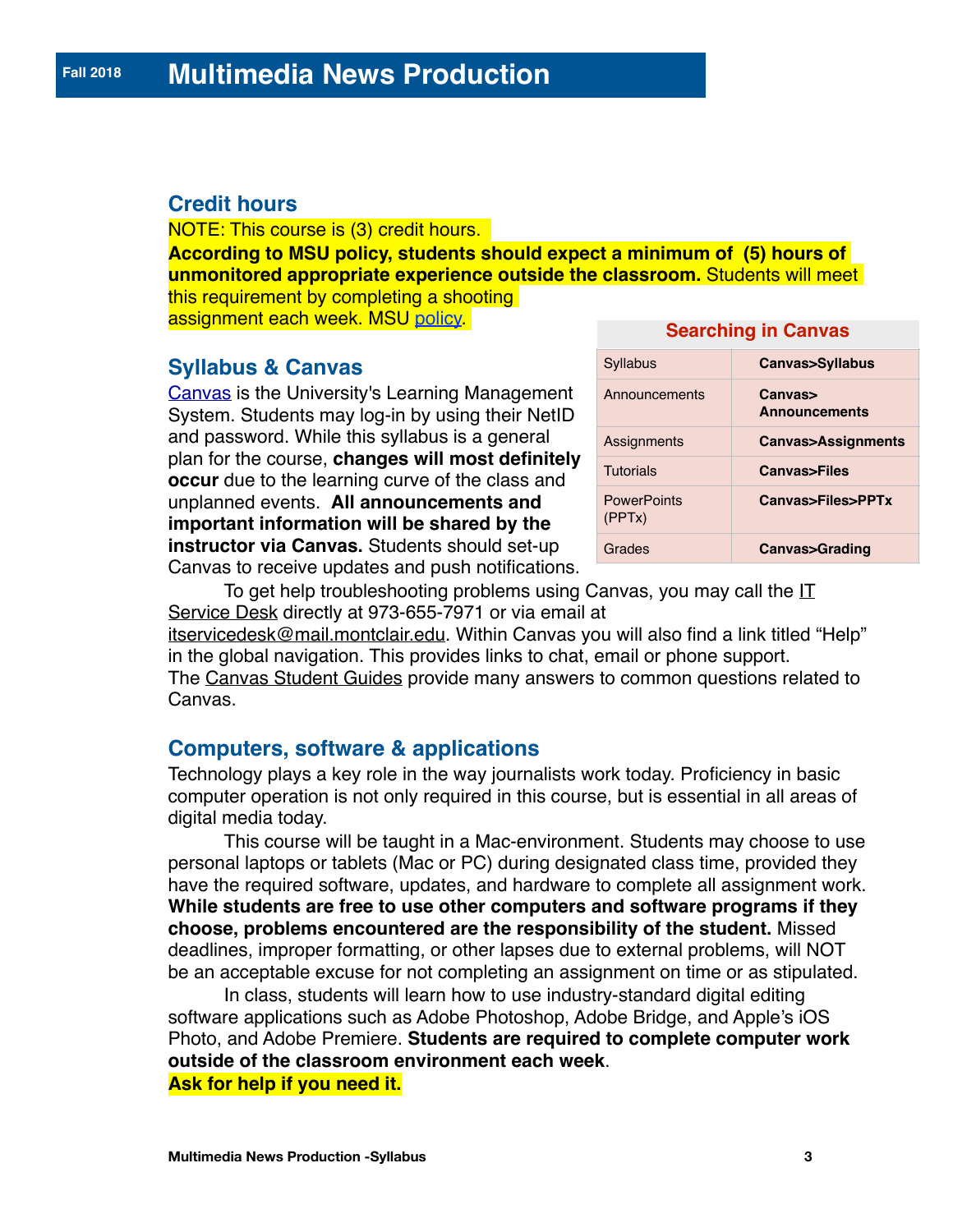# **Credit hours**

NOTE: This course is (3) credit hours. **According to MSU policy, students should expect a minimum of (5) hours of unmonitored appropriate experience outside the classroom.** Students will meet this requirement by completing a shooting assignment each week. MSU [policy.](http://www.montclair.edu/registrar/schedule-book/academic-regulations/) **Searching in Canvas**

# **Syllabus & Canvas**

[Canvas](https://montclair.instructure.com/.) is the University's Learning Management System. Students may log-in by using their NetID and password. While this syllabus is a general plan for the course, **changes will most definitely occur** due to the learning curve of the class and unplanned events. **All announcements and important information will be shared by the instructor via Canvas.** Students should set-up Canvas to receive updates and push notifications.

| <b></b>                      |                                 |  |
|------------------------------|---------------------------------|--|
| Syllabus                     | Canvas>Syllabus                 |  |
| Announcements                | Canvas><br><b>Announcements</b> |  |
| Assignments                  | Canvas>Assignments              |  |
| <b>Tutorials</b>             | <b>Canvas&gt;Files</b>          |  |
| <b>PowerPoints</b><br>(PPTX) | Canvas>Files>PPTx               |  |
| Grades                       | Canvas>Grading                  |  |

To get help troubleshooting problems using Canvas, you may call the  $II$ [Service Desk](http://www.montclair.edu/oit/tech-solutions-center/it-service-desk/) directly at 973-655-7971 or via email at

[itservicedesk@mail.montclair.edu](mailto:itservicedesk@mail.montclair.edu). Within Canvas you will also find a link titled "Help" in the global navigation. This provides links to chat, email or phone support. The [Canvas Student Guides](https://community.canvaslms.com/docs/DOC-10701) provide many answers to common questions related to Canvas.

# **Computers, software & applications**

Technology plays a key role in the way journalists work today. Proficiency in basic computer operation is not only required in this course, but is essential in all areas of digital media today.

This course will be taught in a Mac-environment. Students may choose to use personal laptops or tablets (Mac or PC) during designated class time, provided they have the required software, updates, and hardware to complete all assignment work. **While students are free to use other computers and software programs if they choose, problems encountered are the responsibility of the student.** Missed deadlines, improper formatting, or other lapses due to external problems, will NOT be an acceptable excuse for not completing an assignment on time or as stipulated.

In class, students will learn how to use industry-standard digital editing software applications such as Adobe Photoshop, Adobe Bridge, and Apple's iOS Photo, and Adobe Premiere. **Students are required to complete computer work outside of the classroom environment each week**. **Ask for help if you need it.**

**Multimedia News Production -Syllabus 3**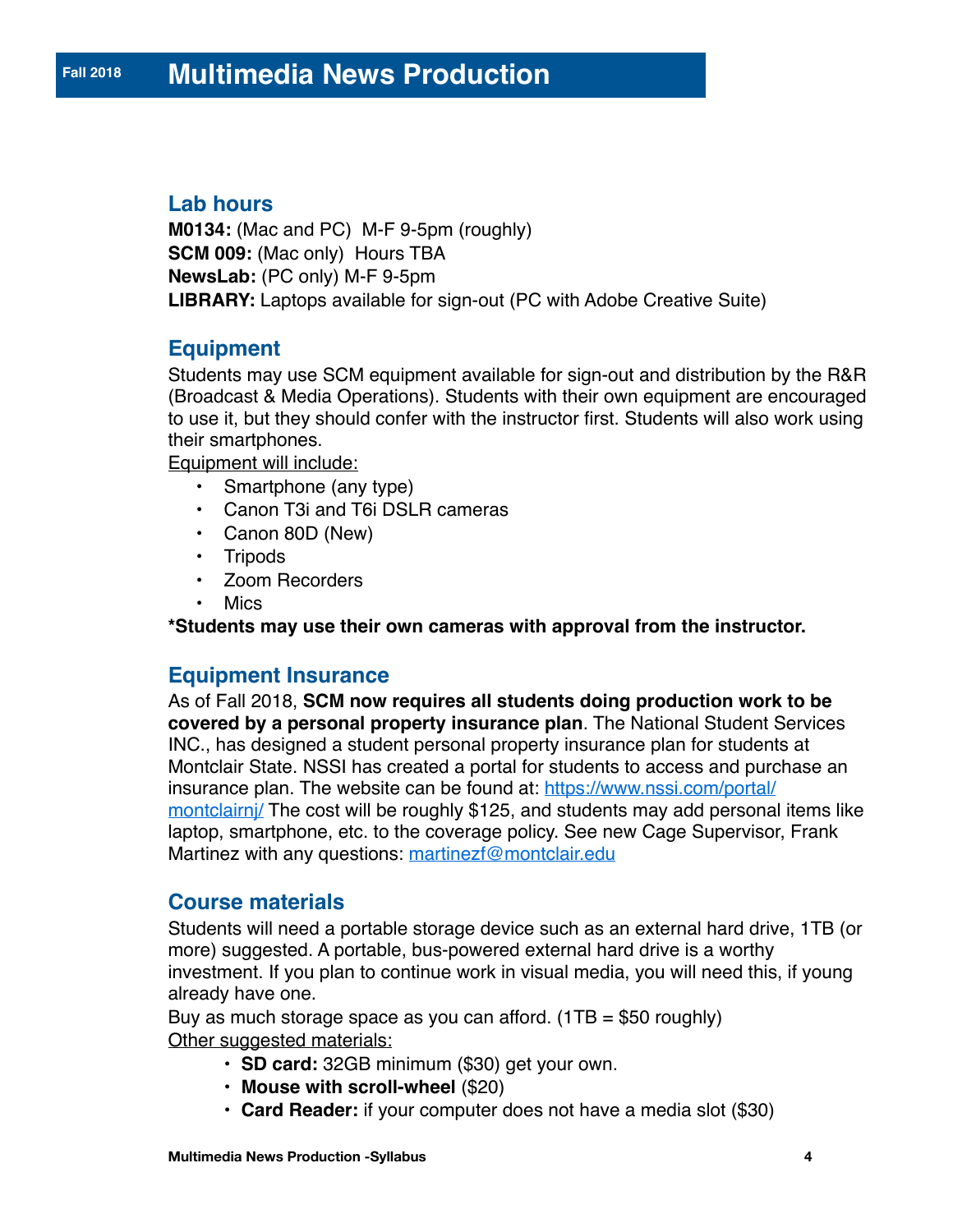# **Lab hours**

**M0134:** (Mac and PC) M-F 9-5pm (roughly) **SCM 009:** (Mac only) Hours TBA **NewsLab:** (PC only) M-F 9-5pm **LIBRARY:** Laptops available for sign-out (PC with Adobe Creative Suite)

# **Equipment**

Students may use SCM equipment available for sign-out and distribution by the R&R (Broadcast & Media Operations). Students with their own equipment are encouraged to use it, but they should confer with the instructor first. Students will also work using their smartphones.

Equipment will include:

- Smartphone (any type)
- Canon T3i and T6i DSLR cameras
- Canon 80D (New)
- Tripods
- Zoom Recorders
- Mics

**\*Students may use their own cameras with approval from the instructor.**

# **Equipment Insurance**

As of Fall 2018, **SCM now requires all students doing production work to be covered by a personal property insurance plan**. The National Student Services INC., has designed a student personal property insurance plan for students at Montclair State. NSSI has created a portal for students to access and purchase an insurance plan. The website can be found at: [https://www.nssi.com/portal/](https://www.nssi.com/portal/montclairnj/) montclairni/ The cost will be roughly \$125, and students may add personal items like laptop, smartphone, etc. to the coverage policy. See new Cage Supervisor, Frank Martinez with any questions: [martinezf@montclair.edu](mailto:martinezf@montclair.edu)

# **Course materials**

Students will need a portable storage device such as an external hard drive, 1TB (or more) suggested. A portable, bus-powered external hard drive is a worthy investment. If you plan to continue work in visual media, you will need this, if young already have one.

Buy as much storage space as you can afford.  $(1TB = $50$  roughly) Other suggested materials:

- **SD card:** 32GB minimum (\$30) get your own.
- **Mouse with scroll-wheel** (\$20)
- **Card Reader:** if your computer does not have a media slot (\$30)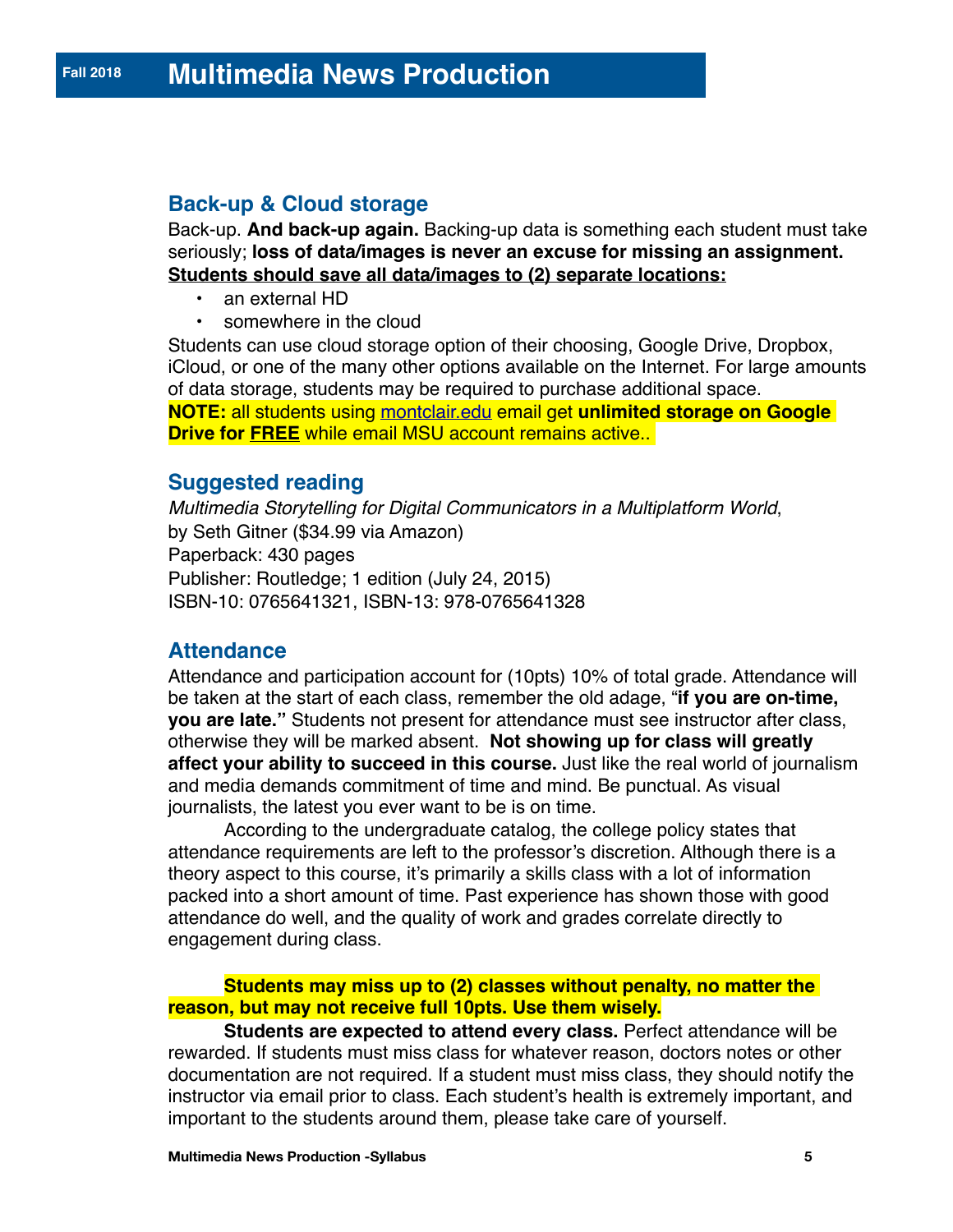# **Back-up & Cloud storage**

Back-up. **And back-up again.** Backing-up data is something each student must take seriously; **loss of data/images is never an excuse for missing an assignment. Students should save all data/images to (2) separate locations:**

- an external HD
- somewhere in the cloud

Students can use cloud storage option of their choosing, Google Drive, Dropbox, iCloud, or one of the many other options available on the Internet. For large amounts of data storage, students may be required to purchase additional space.

**NOTE:** all students using [montclair.edu](http://montclair.edu) email get **unlimited storage on Google Drive for FREE** while email MSU account remains active..

### **Suggested reading**

*Multimedia Storytelling for Digital Communicators in a Multiplatform World*, by Seth Gitner (\$34.99 via Amazon) Paperback: 430 pages Publisher: Routledge; 1 edition (July 24, 2015) ISBN-10: 0765641321, ISBN-13: 978-0765641328

# **Attendance**

Attendance and participation account for (10pts) 10% of total grade. Attendance will be taken at the start of each class, remember the old adage, "**if you are on-time, you are late."** Students not present for attendance must see instructor after class, otherwise they will be marked absent. **Not showing up for class will greatly affect your ability to succeed in this course.** Just like the real world of journalism and media demands commitment of time and mind. Be punctual. As visual journalists, the latest you ever want to be is on time.

According to the undergraduate catalog, the college policy states that attendance requirements are left to the professor's discretion. Although there is a theory aspect to this course, it's primarily a skills class with a lot of information packed into a short amount of time. Past experience has shown those with good attendance do well, and the quality of work and grades correlate directly to engagement during class.

#### **Students may miss up to (2) classes without penalty, no matter the reason, but may not receive full 10pts. Use them wisely.**

**Students are expected to attend every class.** Perfect attendance will be rewarded. If students must miss class for whatever reason, doctors notes or other documentation are not required. If a student must miss class, they should notify the instructor via email prior to class. Each student's health is extremely important, and important to the students around them, please take care of yourself.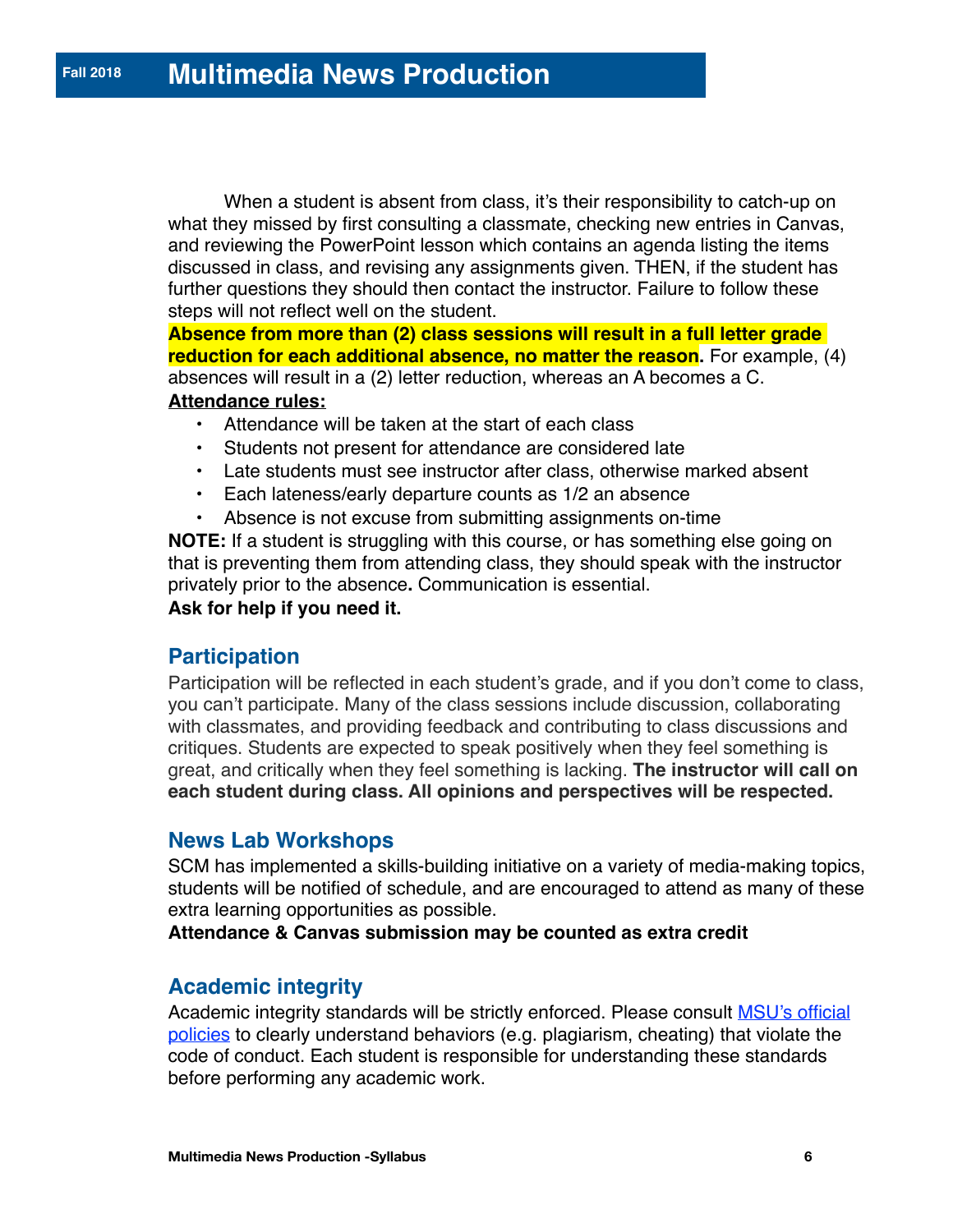When a student is absent from class, it's their responsibility to catch-up on what they missed by first consulting a classmate, checking new entries in Canvas, and reviewing the PowerPoint lesson which contains an agenda listing the items discussed in class, and revising any assignments given. THEN, if the student has further questions they should then contact the instructor. Failure to follow these steps will not reflect well on the student.

**Absence from more than (2) class sessions will result in a full letter grade reduction for each additional absence, no matter the reason.** For example, (4) absences will result in a (2) letter reduction, whereas an A becomes a C.

#### **Attendance rules:**

- Attendance will be taken at the start of each class
- Students not present for attendance are considered late
- Late students must see instructor after class, otherwise marked absent
- Each lateness/early departure counts as 1/2 an absence
- Absence is not excuse from submitting assignments on-time

**NOTE:** If a student is struggling with this course, or has something else going on that is preventing them from attending class, they should speak with the instructor privately prior to the absence**.** Communication is essential.

**Ask for help if you need it.**

### **Participation**

Participation will be reflected in each student's grade, and if you don't come to class, you can't participate. Many of the class sessions include discussion, collaborating with classmates, and providing feedback and contributing to class discussions and critiques. Students are expected to speak positively when they feel something is great, and critically when they feel something is lacking. **The instructor will call on each student during class. All opinions and perspectives will be respected.**

### **News Lab Workshops**

SCM has implemented a skills-building initiative on a variety of media-making topics, students will be notified of schedule, and are encouraged to attend as many of these extra learning opportunities as possible.

**Attendance & Canvas submission may be counted as extra credit**

# **Academic integrity**

Academic integrity standards will be strictly enforced. Please consult [MSU's official](http://www.montclair.edu/dean-of-students/student-conduct/code-conduct/)  [policies](http://www.montclair.edu/dean-of-students/student-conduct/code-conduct/) to clearly understand behaviors (e.g. plagiarism, cheating) that violate the code of conduct. Each student is responsible for understanding these standards before performing any academic work.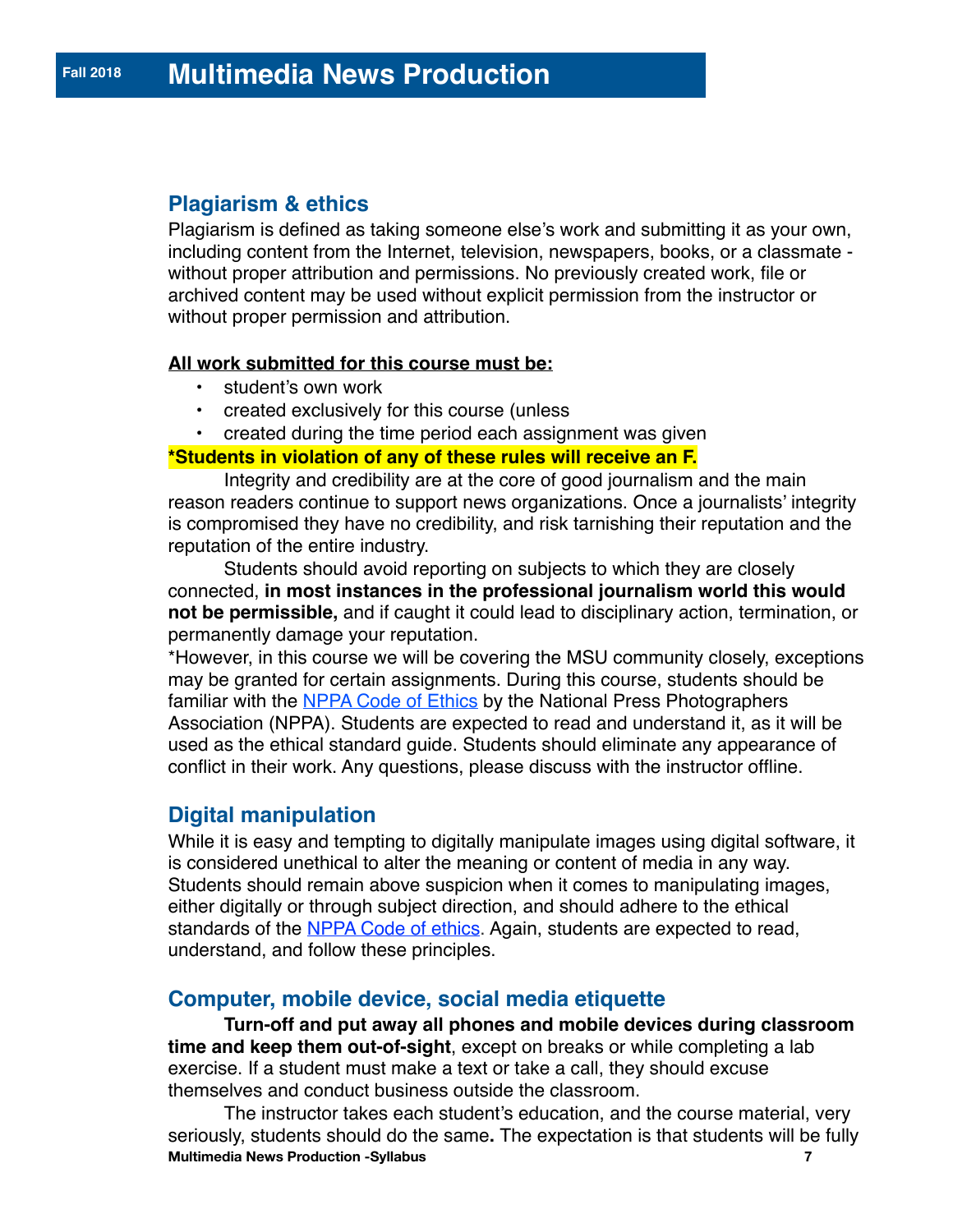# **Plagiarism & ethics**

Plagiarism is defined as taking someone else's work and submitting it as your own, including content from the Internet, television, newspapers, books, or a classmate without proper attribution and permissions. No previously created work, file or archived content may be used without explicit permission from the instructor or without proper permission and attribution.

#### **All work submitted for this course must be:**

- student's own work
- created exclusively for this course (unless
- created during the time period each assignment was given

#### **\*Students in violation of any of these rules will receive an F.**

Integrity and credibility are at the core of good journalism and the main reason readers continue to support news organizations. Once a journalists' integrity is compromised they have no credibility, and risk tarnishing their reputation and the reputation of the entire industry.

Students should avoid reporting on subjects to which they are closely connected, **in most instances in the professional journalism world this would not be permissible,** and if caught it could lead to disciplinary action, termination, or permanently damage your reputation.

\*However, in this course we will be covering the MSU community closely, exceptions may be granted for certain assignments. During this course, students should be familiar with the [NPPA Code of Ethics](https://nppa.org/code_of_ethics) by the National Press Photographers Association (NPPA). Students are expected to read and understand it, as it will be used as the ethical standard guide. Students should eliminate any appearance of conflict in their work. Any questions, please discuss with the instructor offline.

# **Digital manipulation**

While it is easy and tempting to digitally manipulate images using digital software, it is considered unethical to alter the meaning or content of media in any way. Students should remain above suspicion when it comes to manipulating images, either digitally or through subject direction, and should adhere to the ethical standards of the [NPPA Code of ethics.](https://nppa.org/code_of_ethics) Again, students are expected to read, understand, and follow these principles.

# **Computer, mobile device, social media etiquette**

**Turn-off and put away all phones and mobile devices during classroom time and keep them out-of-sight**, except on breaks or while completing a lab exercise. If a student must make a text or take a call, they should excuse themselves and conduct business outside the classroom.

The instructor takes each student's education, and the course material, very seriously, students should do the same**.** The expectation is that students will be fully **Multimedia News Production -Syllabus 7**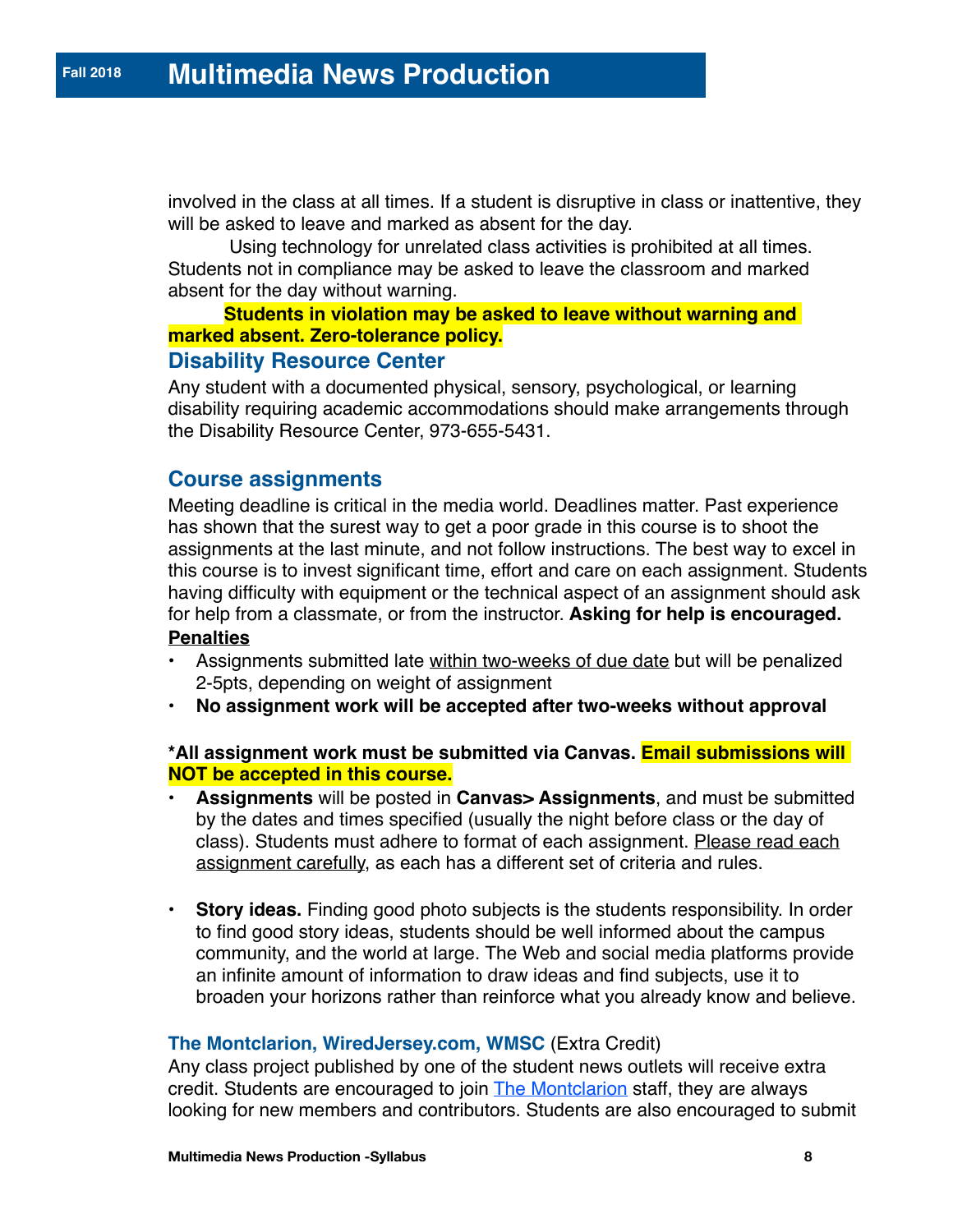involved in the class at all times. If a student is disruptive in class or inattentive, they will be asked to leave and marked as absent for the day.

 Using technology for unrelated class activities is prohibited at all times. Students not in compliance may be asked to leave the classroom and marked absent for the day without warning.

#### **Students in violation may be asked to leave without warning and marked absent. Zero-tolerance policy.**

#### **Disability Resource Center**

Any student with a documented physical, sensory, psychological, or learning disability requiring academic accommodations should make arrangements through the Disability Resource Center, 973-655-5431.

## **Course assignments**

Meeting deadline is critical in the media world. Deadlines matter. Past experience has shown that the surest way to get a poor grade in this course is to shoot the assignments at the last minute, and not follow instructions. The best way to excel in this course is to invest significant time, effort and care on each assignment. Students having difficulty with equipment or the technical aspect of an assignment should ask for help from a classmate, or from the instructor. **Asking for help is encouraged. Penalties**

- Assignments submitted late within two-weeks of due date but will be penalized 2-5pts, depending on weight of assignment
- **No assignment work will be accepted after two-weeks without approval**

#### **\*All assignment work must be submitted via Canvas. Email submissions will NOT be accepted in this course.**

- **Assignments** will be posted in **Canvas> Assignments**, and must be submitted by the dates and times specified (usually the night before class or the day of class). Students must adhere to format of each assignment. Please read each assignment carefully, as each has a different set of criteria and rules.
- **Story ideas.** Finding good photo subjects is the students responsibility. In order to find good story ideas, students should be well informed about the campus community, and the world at large. The Web and social media platforms provide an infinite amount of information to draw ideas and find subjects, use it to broaden your horizons rather than reinforce what you already know and believe.

#### **The Montclarion, WiredJersey.com, WMSC** (Extra Credit)

Any class project published by one of the student news outlets will receive extra credit. Students are encouraged to join **The Montclarion** staff, they are always looking for new members and contributors. Students are also encouraged to submit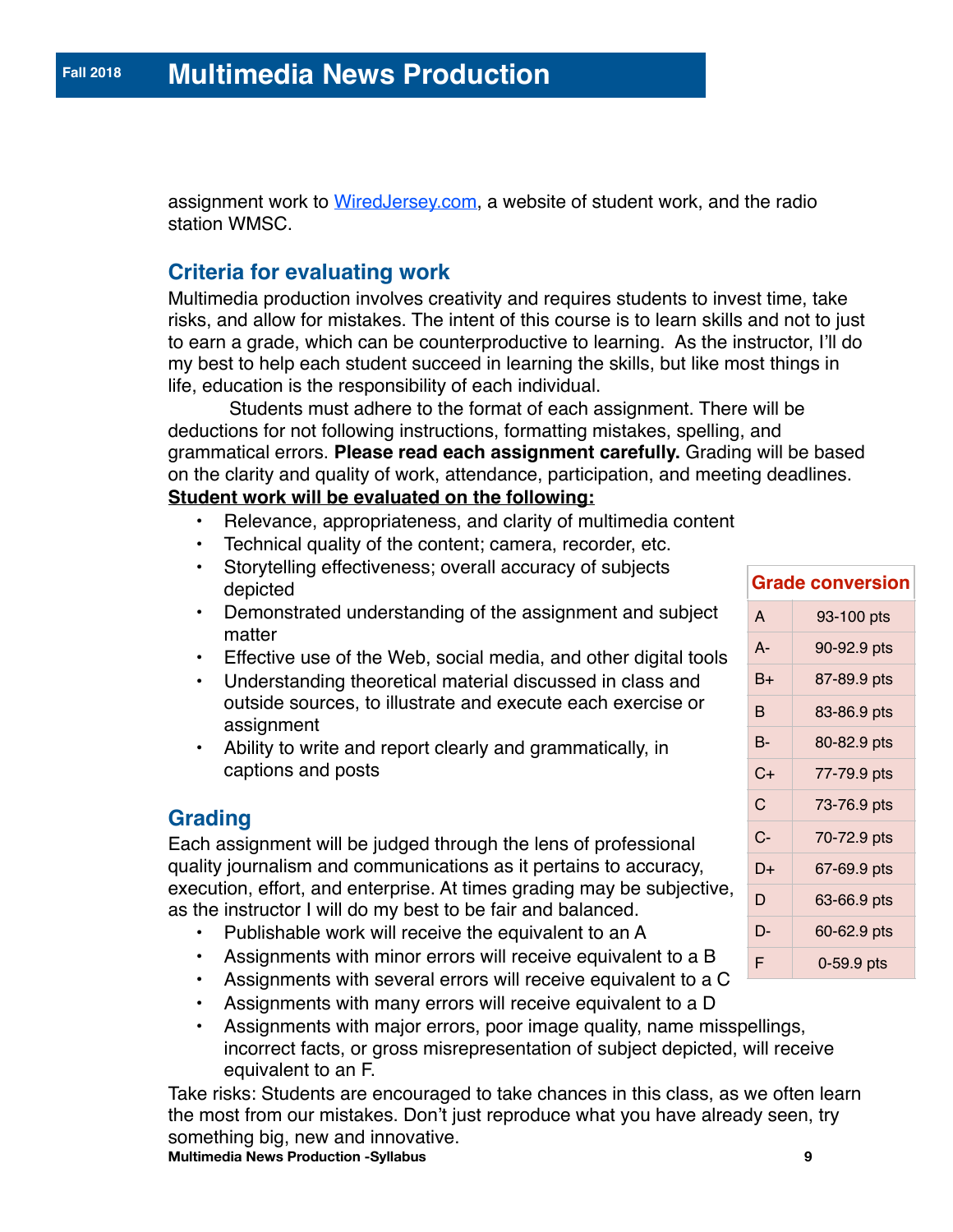assignment work to [WiredJersey.com](http://wiredjersey.com/), a website of student work, and the radio station WMSC.

# **Criteria for evaluating work**

Multimedia production involves creativity and requires students to invest time, take risks, and allow for mistakes. The intent of this course is to learn skills and not to just to earn a grade, which can be counterproductive to learning. As the instructor, I'll do my best to help each student succeed in learning the skills, but like most things in life, education is the responsibility of each individual.

 Students must adhere to the format of each assignment. There will be deductions for not following instructions, formatting mistakes, spelling, and grammatical errors. **Please read each assignment carefully.** Grading will be based on the clarity and quality of work, attendance, participation, and meeting deadlines. **Student work will be evaluated on the following:**

- Relevance, appropriateness, and clarity of multimedia content
- Technical quality of the content; camera, recorder, etc.
- Storytelling effectiveness; overall accuracy of subjects depicted
- Demonstrated understanding of the assignment and subject matter
- Effective use of the Web, social media, and other digital tools
- Understanding theoretical material discussed in class and outside sources, to illustrate and execute each exercise or assignment
- Ability to write and report clearly and grammatically, in captions and posts

# **Grading**

Each assignment will be judged through the lens of professional quality journalism and communications as it pertains to accuracy, execution, effort, and enterprise. At times grading may be subjective, as the instructor I will do my best to be fair and balanced.

- Publishable work will receive the equivalent to an A
- Assignments with minor errors will receive equivalent to a B
- Assignments with several errors will receive equivalent to a C
- Assignments with many errors will receive equivalent to a D
- Assignments with major errors, poor image quality, name misspellings, incorrect facts, or gross misrepresentation of subject depicted, will receive equivalent to an F.

Take risks: Students are encouraged to take chances in this class, as we often learn the most from our mistakes. Don't just reproduce what you have already seen, try something big, new and innovative. **Multimedia News Production -Syllabus 9**

| <b>Grade conversion</b> |             |
|-------------------------|-------------|
| A                       | 93-100 pts  |
| A-                      | 90-92.9 pts |
| B+                      | 87-89.9 pts |
| в                       | 83-86.9 pts |
| В-                      | 80-82.9 pts |
| C+                      | 77-79.9 pts |
| C                       | 73-76.9 pts |
| $C-$                    | 70-72.9 pts |
| D+                      | 67-69.9 pts |
| D                       | 63-66.9 pts |
| D-                      | 60-62.9 pts |
| F                       | 0-59.9 pts  |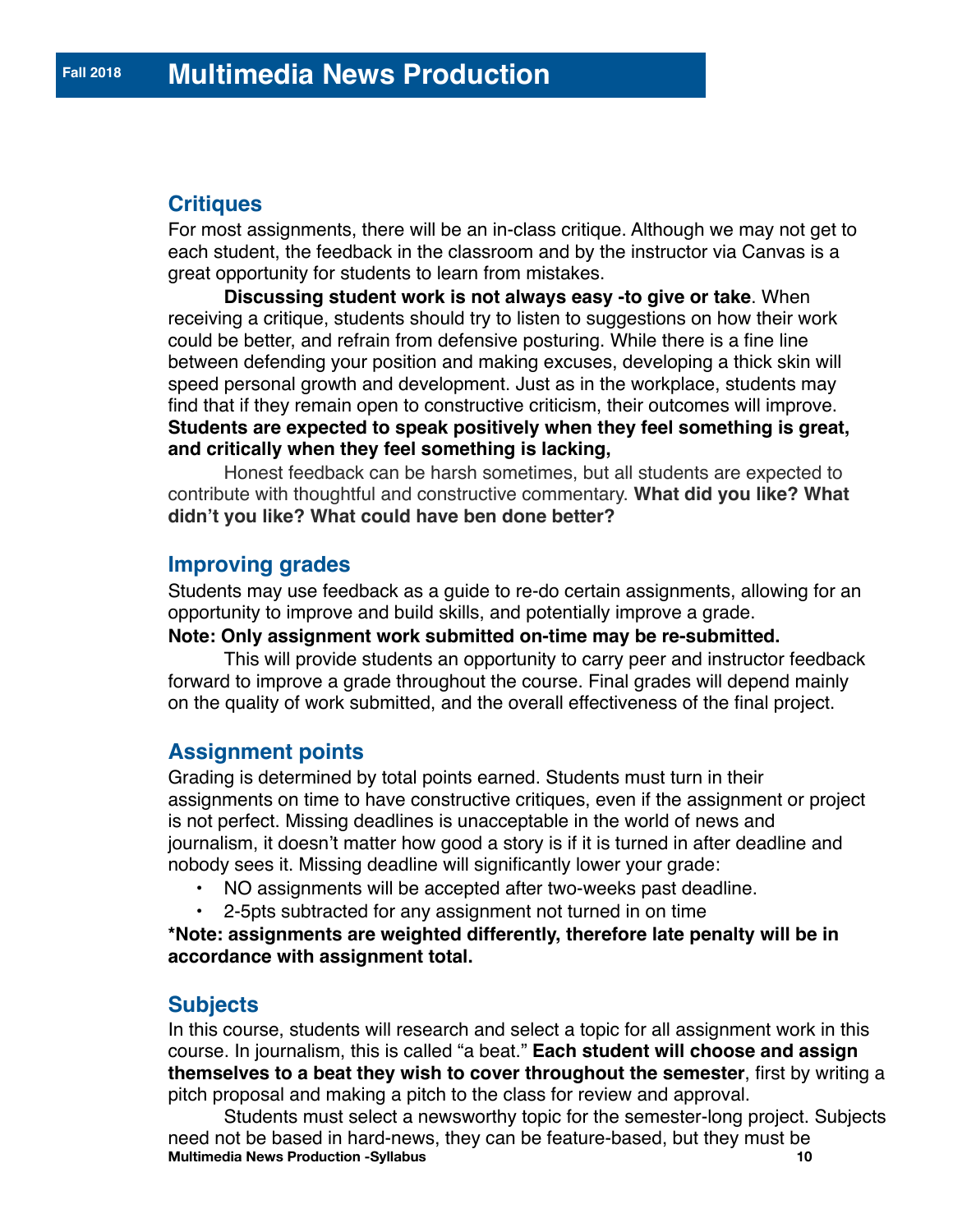# **Critiques**

For most assignments, there will be an in-class critique. Although we may not get to each student, the feedback in the classroom and by the instructor via Canvas is a great opportunity for students to learn from mistakes.

**Discussing student work is not always easy -to give or take**. When receiving a critique, students should try to listen to suggestions on how their work could be better, and refrain from defensive posturing. While there is a fine line between defending your position and making excuses, developing a thick skin will speed personal growth and development. Just as in the workplace, students may find that if they remain open to constructive criticism, their outcomes will improve. **Students are expected to speak positively when they feel something is great, and critically when they feel something is lacking,**

Honest feedback can be harsh sometimes, but all students are expected to contribute with thoughtful and constructive commentary. **What did you like? What didn't you like? What could have ben done better?**

#### **Improving grades**

Students may use feedback as a guide to re-do certain assignments, allowing for an opportunity to improve and build skills, and potentially improve a grade.

#### **Note: Only assignment work submitted on-time may be re-submitted.**

This will provide students an opportunity to carry peer and instructor feedback forward to improve a grade throughout the course. Final grades will depend mainly on the quality of work submitted, and the overall effectiveness of the final project.

#### **Assignment points**

Grading is determined by total points earned. Students must turn in their assignments on time to have constructive critiques, even if the assignment or project is not perfect. Missing deadlines is unacceptable in the world of news and journalism, it doesn't matter how good a story is if it is turned in after deadline and nobody sees it. Missing deadline will significantly lower your grade:

- NO assignments will be accepted after two-weeks past deadline.
- 2-5pts subtracted for any assignment not turned in on time

**\*Note: assignments are weighted differently, therefore late penalty will be in accordance with assignment total.** 

#### **Subjects**

In this course, students will research and select a topic for all assignment work in this course. In journalism, this is called "a beat." **Each student will choose and assign themselves to a beat they wish to cover throughout the semester**, first by writing a pitch proposal and making a pitch to the class for review and approval.

Students must select a newsworthy topic for the semester-long project. Subjects need not be based in hard-news, they can be feature-based, but they must be **Multimedia News Production -Syllabus Multimedia News Production -Syllabus**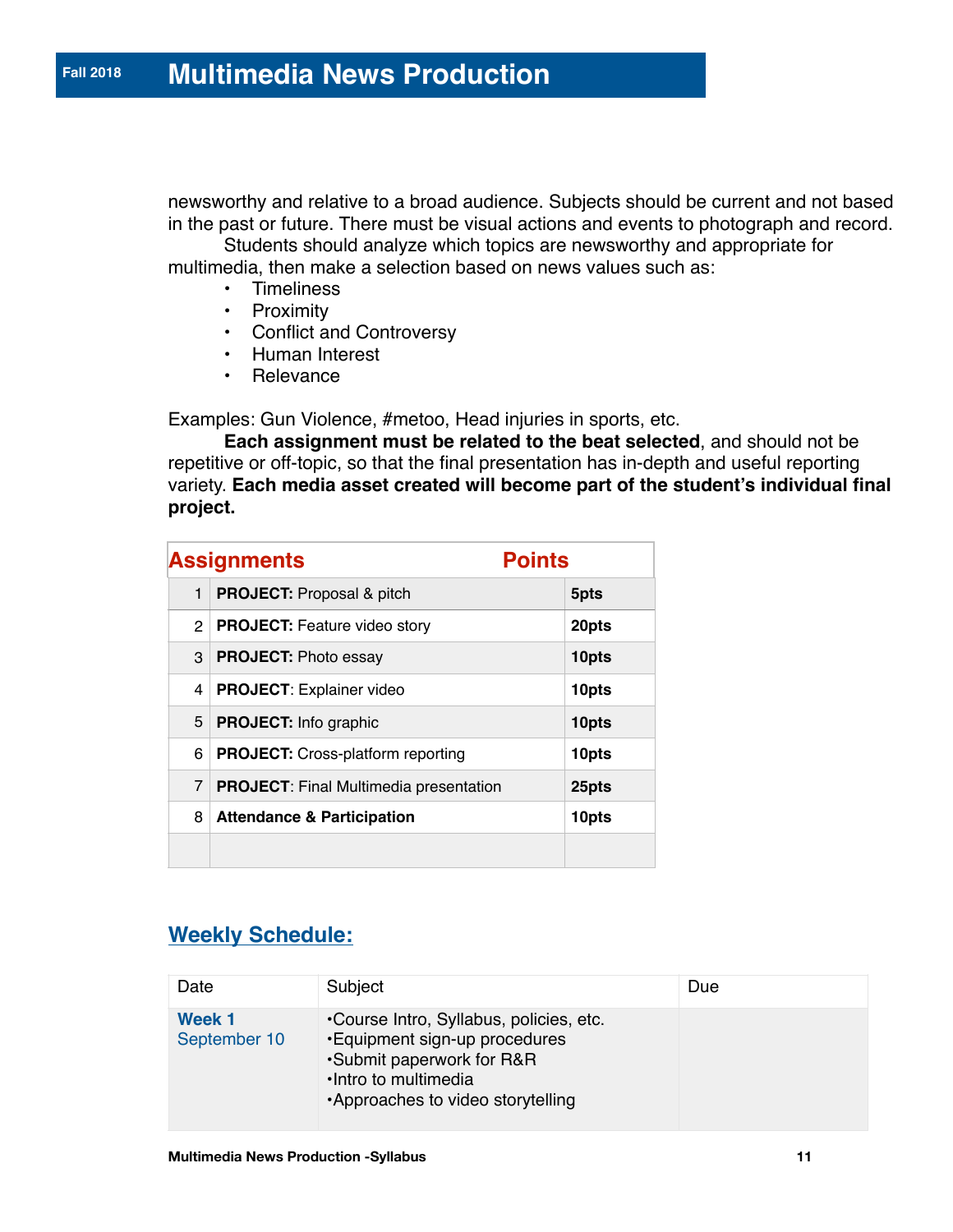newsworthy and relative to a broad audience. Subjects should be current and not based in the past or future. There must be visual actions and events to photograph and record.

Students should analyze which topics are newsworthy and appropriate for multimedia, then make a selection based on news values such as:

- Timeliness
- Proximity
- Conflict and Controversy
- Human Interest
- Relevance

Examples: Gun Violence, #metoo, Head injuries in sports, etc.

**Each assignment must be related to the beat selected**, and should not be repetitive or off-topic, so that the final presentation has in-depth and useful reporting variety. **Each media asset created will become part of the student's individual final project.**

|              | <b>Assignments</b>                            | <b>Points</b> |
|--------------|-----------------------------------------------|---------------|
| $\mathbf{1}$ | <b>PROJECT:</b> Proposal & pitch              | 5pts          |
|              | 2   PROJECT: Feature video story              | 20pts         |
| 3            | <b>PROJECT: Photo essay</b>                   | 10pts         |
| 4            | <b>PROJECT: Explainer video</b>               | 10pts         |
| 5            | <b>PROJECT:</b> Info graphic                  | 10pts         |
| 6            | <b>PROJECT:</b> Cross-platform reporting      | 10pts         |
| 7            | <b>PROJECT:</b> Final Multimedia presentation | 25pts         |
| 8            | <b>Attendance &amp; Participation</b>         | 10pts         |
|              |                                               |               |

# **Weekly Schedule:**

| Date                   | Subject                                                                                                                                                             | Due |
|------------------------|---------------------------------------------------------------------------------------------------------------------------------------------------------------------|-----|
| Week 1<br>September 10 | •Course Intro, Syllabus, policies, etc.<br>•Equipment sign-up procedures<br>•Submit paperwork for R&R<br>· Intro to multimedia<br>•Approaches to video storytelling |     |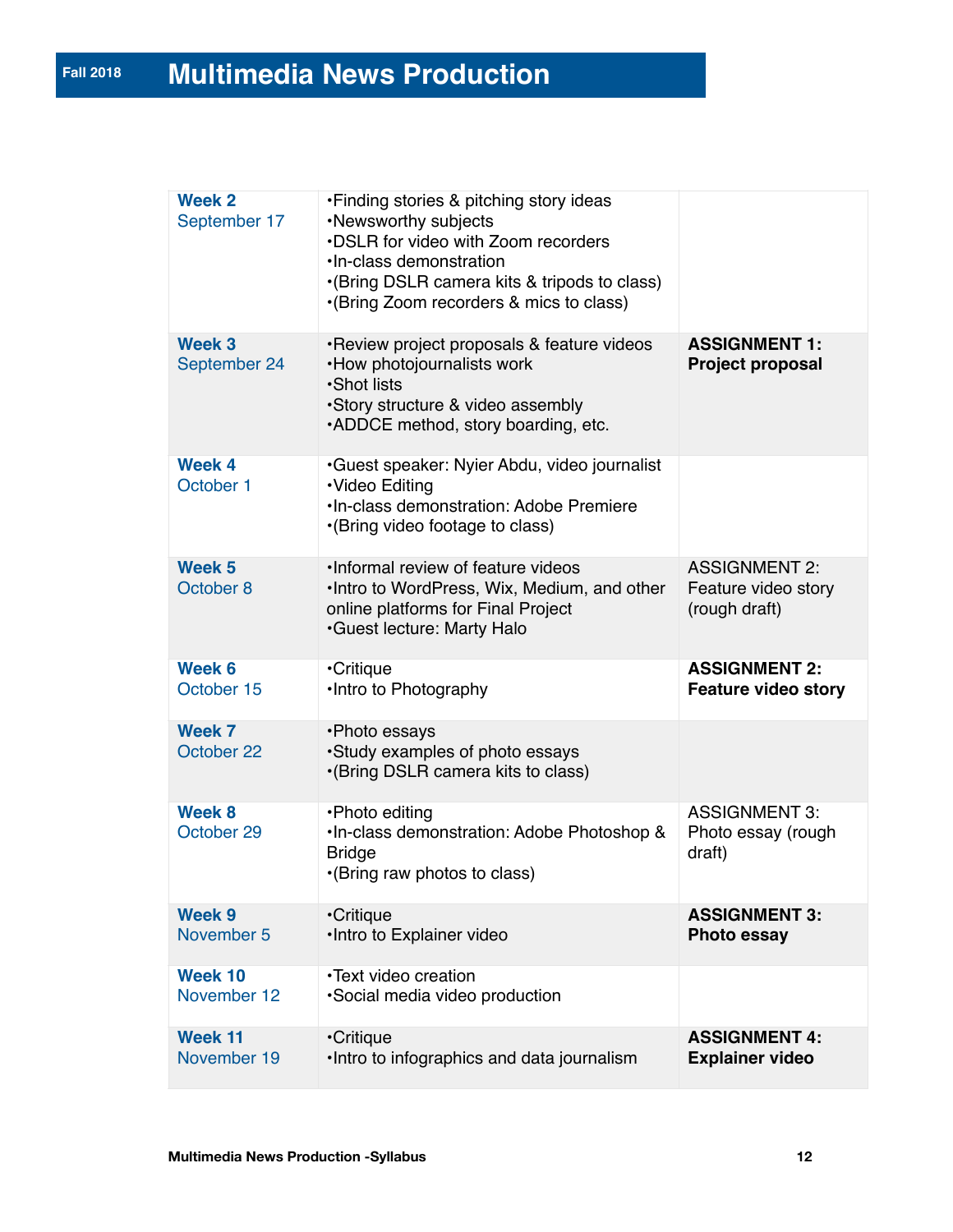| Week 2<br>September 17         | •Finding stories & pitching story ideas<br>•Newsworthy subjects<br>.DSLR for video with Zoom recorders<br>·In-class demonstration<br>•(Bring DSLR camera kits & tripods to class)<br>•(Bring Zoom recorders & mics to class) |                                                              |
|--------------------------------|------------------------------------------------------------------------------------------------------------------------------------------------------------------------------------------------------------------------------|--------------------------------------------------------------|
| Week 3<br>September 24         | •Review project proposals & feature videos<br>•How photojournalists work<br>•Shot lists<br>•Story structure & video assembly<br>.ADDCE method, story boarding, etc.                                                          | <b>ASSIGNMENT 1:</b><br><b>Project proposal</b>              |
| Week 4<br>October 1            | ·Guest speaker: Nyier Abdu, video journalist<br>·Video Editing<br>. In-class demonstration: Adobe Premiere<br>•(Bring video footage to class)                                                                                |                                                              |
| Week <sub>5</sub><br>October 8 | . Informal review of feature videos<br>. Intro to WordPress, Wix, Medium, and other<br>online platforms for Final Project<br><b>Guest lecture: Marty Halo</b>                                                                | <b>ASSIGNMENT 2:</b><br>Feature video story<br>(rough draft) |
| Week 6<br>October 15           | •Critique<br>•Intro to Photography                                                                                                                                                                                           | <b>ASSIGNMENT 2:</b><br><b>Feature video story</b>           |
| Week 7<br>October 22           | •Photo essays<br>•Study examples of photo essays<br>•(Bring DSLR camera kits to class)                                                                                                                                       |                                                              |
| Week 8<br>October 29           | •Photo editing<br>. In-class demonstration: Adobe Photoshop &<br><b>Bridge</b><br>•(Bring raw photos to class)                                                                                                               | <b>ASSIGNMENT 3:</b><br>Photo essay (rough<br>draft)         |
| Week 9<br>November 5           | •Critique<br>•Intro to Explainer video                                                                                                                                                                                       | <b>ASSIGNMENT 3:</b><br><b>Photo essay</b>                   |
| Week 10<br>November 12         | ·Text video creation<br>·Social media video production                                                                                                                                                                       |                                                              |
| Week 11<br>November 19         | <b>•Critique</b><br>. Intro to infographics and data journalism                                                                                                                                                              | <b>ASSIGNMENT 4:</b><br><b>Explainer video</b>               |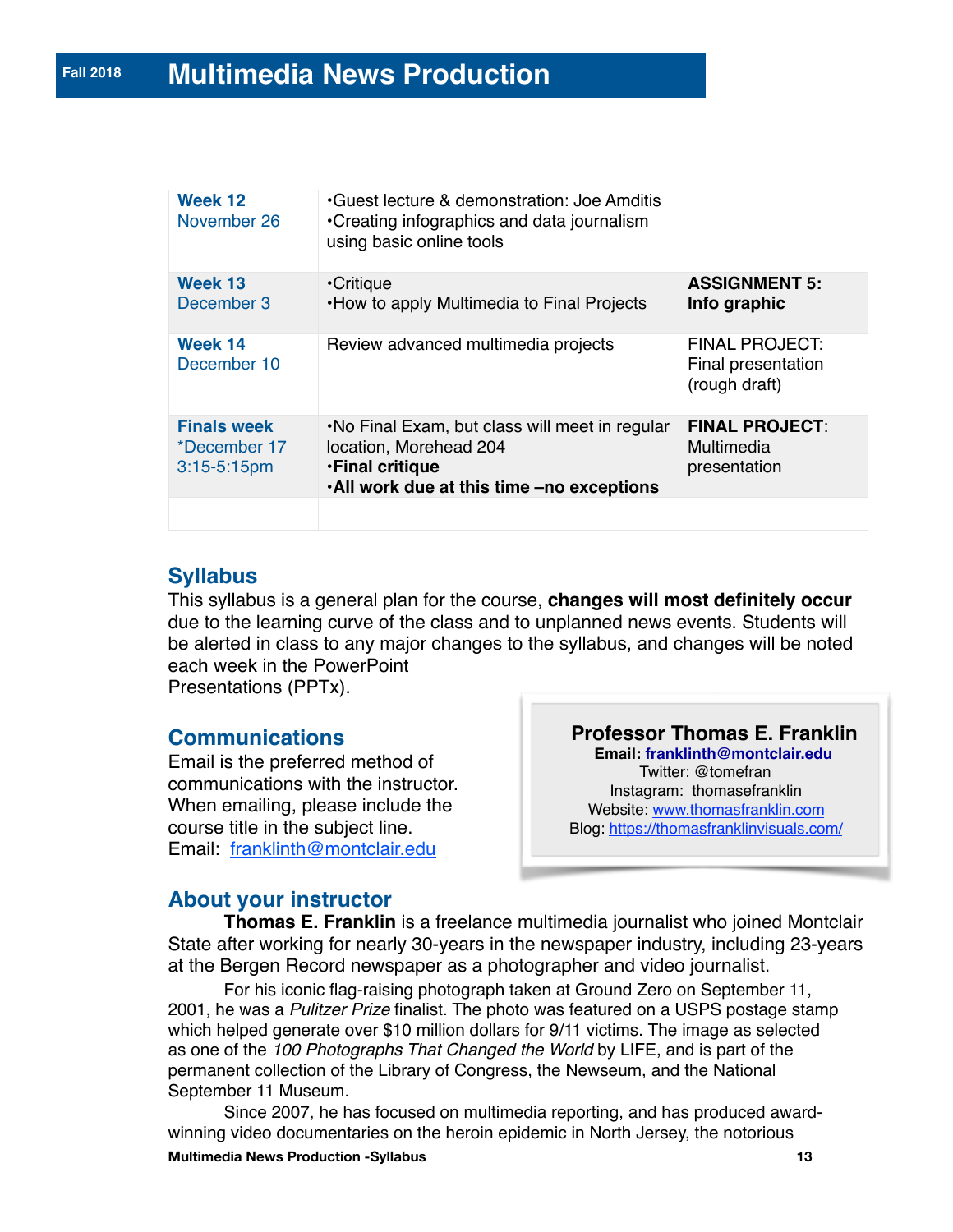| Week 12<br>November 26                                 | Guest lecture & demonstration: Joe Amditis<br>•Creating infographics and data journalism<br>using basic online tools                              |                                                              |
|--------------------------------------------------------|---------------------------------------------------------------------------------------------------------------------------------------------------|--------------------------------------------------------------|
| Week 13<br>December 3                                  | <b>•Critique</b><br>. How to apply Multimedia to Final Projects                                                                                   | <b>ASSIGNMENT 5:</b><br>Info graphic                         |
| Week 14<br>December 10                                 | Review advanced multimedia projects                                                                                                               | <b>FINAL PROJECT:</b><br>Final presentation<br>(rough draft) |
| <b>Finals week</b><br>*December 17<br>$3:15 - 5:15$ pm | . No Final Exam, but class will meet in regular<br>location, Morehead 204<br><b>.Final critique</b><br>. All work due at this time -no exceptions | <b>FINAL PROJECT:</b><br>Multimedia<br>presentation          |
|                                                        |                                                                                                                                                   |                                                              |

# **Syllabus**

This syllabus is a general plan for the course, **changes will most definitely occur**  due to the learning curve of the class and to unplanned news events. Students will be alerted in class to any major changes to the syllabus, and changes will be noted each week in the PowerPoint

Presentations (PPTx).

### **Communications**

Email is the preferred method of communications with the instructor. When emailing, please include the course title in the subject line. Email: [franklinth@montclair.edu](mailto:franklinth@montclair.edu)

**Professor Thomas E. Franklin Email: [franklinth@montclair.edu](http://franklinth@montclair.edu)** Twitter: @tomefran Instagram: thomasefranklin Website: [www.thomasfranklin.com](http://www.thomasfranklin.com) Blog:<https://thomasfranklinvisuals.com/>

### **About your instructor**

**Thomas E. Franklin** is a freelance multimedia journalist who joined Montclair State after working for nearly 30-years in the newspaper industry, including 23-years at the Bergen Record newspaper as a photographer and video journalist.

For his iconic flag-raising photograph taken at Ground Zero on September 11, 2001, he was a *Pulitzer Prize* finalist. The photo was featured on a USPS postage stamp which helped generate over \$10 million dollars for 9/11 victims. The image as selected as one of the *100 Photographs That Changed the World* by LIFE, and is part of the permanent collection of the Library of Congress, the Newseum, and the National September 11 Museum.

Since 2007, he has focused on multimedia reporting, and has produced awardwinning video documentaries on the heroin epidemic in North Jersey, the notorious